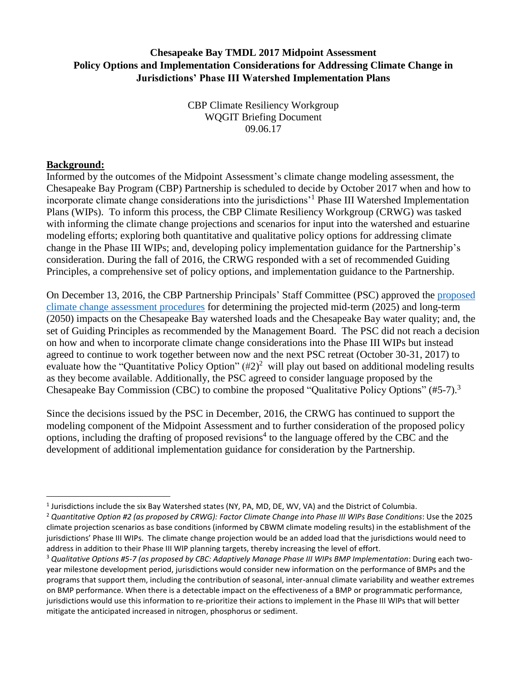## **Chesapeake Bay TMDL 2017 Midpoint Assessment Policy Options and Implementation Considerations for Addressing Climate Change in Jurisdictions' Phase III Watershed Implementation Plans**

CBP Climate Resiliency Workgroup WQGIT Briefing Document 09.06.17

#### **Background:**

 $\overline{a}$ 

Informed by the outcomes of the Midpoint Assessment's climate change modeling assessment, the Chesapeake Bay Program (CBP) Partnership is scheduled to decide by October 2017 when and how to incorporate climate change considerations into the jurisdictions'<sup>1</sup> Phase III Watershed Implementation Plans (WIPs). To inform this process, the CBP Climate Resiliency Workgroup (CRWG) was tasked with informing the climate change projections and scenarios for input into the watershed and estuarine modeling efforts; exploring both quantitative and qualitative policy options for addressing climate change in the Phase III WIPs; and, developing policy implementation guidance for the Partnership's consideration. During the fall of 2016, the CRWG responded with a set of recommended Guiding Principles, a comprehensive set of policy options, and implementation guidance to the Partnership.

On December 13, 2016, the CBP Partnership Principals' Staff Committee (PSC) approved the [proposed](http://www.chesapeakebay.net/channel_files/24456/ii.g._briefing_paper_describing_cc_modeling_approach_dec_13_psc_mtg.pdf)  [climate change assessment procedures](http://www.chesapeakebay.net/channel_files/24456/ii.g._briefing_paper_describing_cc_modeling_approach_dec_13_psc_mtg.pdf) for determining the projected mid-term (2025) and long-term (2050) impacts on the Chesapeake Bay watershed loads and the Chesapeake Bay water quality; and, the set of Guiding Principles as recommended by the Management Board. The PSC did not reach a decision on how and when to incorporate climate change considerations into the Phase III WIPs but instead agreed to continue to work together between now and the next PSC retreat (October 30-31, 2017) to evaluate how the "Quantitative Policy Option"  $(\#2)^2$  will play out based on additional modeling results as they become available. Additionally, the PSC agreed to consider language proposed by the Chesapeake Bay Commission (CBC) to combine the proposed "Qualitative Policy Options" (#5-7).<sup>3</sup>

Since the decisions issued by the PSC in December, 2016, the CRWG has continued to support the modeling component of the Midpoint Assessment and to further consideration of the proposed policy options, including the drafting of proposed revisions<sup>4</sup> to the language offered by the CBC and the development of additional implementation guidance for consideration by the Partnership.

 $^1$  Jurisdictions include the six Bay Watershed states (NY, PA, MD, DE, WV, VA) and the District of Columbia.

<sup>2</sup> *Quantitative Option #2 (as proposed by CRWG): Factor Climate Change into Phase III WIPs Base Conditions*: Use the 2025 climate projection scenarios as base conditions (informed by CBWM climate modeling results) in the establishment of the jurisdictions' Phase III WIPs. The climate change projection would be an added load that the jurisdictions would need to address in addition to their Phase III WIP planning targets, thereby increasing the level of effort.

<sup>3</sup> *Qualitative Options #5-7 (as proposed by CBC: Adaptively Manage Phase III WIPs BMP Implementation*: During each twoyear milestone development period, jurisdictions would consider new information on the performance of BMPs and the programs that support them, including the contribution of seasonal, inter-annual climate variability and weather extremes on BMP performance. When there is a detectable impact on the effectiveness of a BMP or programmatic performance, jurisdictions would use this information to re-prioritize their actions to implement in the Phase III WIPs that will better mitigate the anticipated increased in nitrogen, phosphorus or sediment.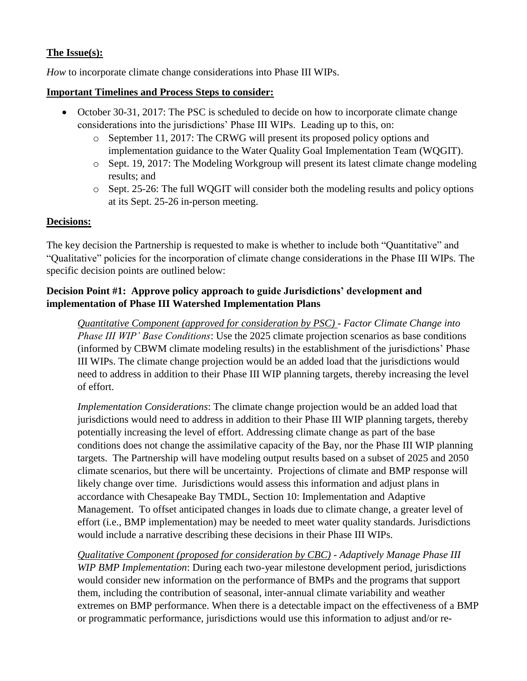## **The Issue(s):**

*How* to incorporate climate change considerations into Phase III WIPs.

### **Important Timelines and Process Steps to consider:**

- October 30-31, 2017: The PSC is scheduled to decide on how to incorporate climate change considerations into the jurisdictions' Phase III WIPs. Leading up to this, on:
	- o September 11, 2017: The CRWG will present its proposed policy options and implementation guidance to the Water Quality Goal Implementation Team (WQGIT).
	- o Sept. 19, 2017: The Modeling Workgroup will present its latest climate change modeling results; and
	- o Sept. 25-26: The full WQGIT will consider both the modeling results and policy options at its Sept. 25-26 in-person meeting.

## **Decisions:**

The key decision the Partnership is requested to make is whether to include both "Quantitative" and "Qualitative" policies for the incorporation of climate change considerations in the Phase III WIPs. The specific decision points are outlined below:

## **Decision Point #1: Approve policy approach to guide Jurisdictions' development and implementation of Phase III Watershed Implementation Plans**

*Quantitative Component (approved for consideration by PSC)* - *Factor Climate Change into Phase III WIP' Base Conditions*: Use the 2025 climate projection scenarios as base conditions (informed by CBWM climate modeling results) in the establishment of the jurisdictions' Phase III WIPs. The climate change projection would be an added load that the jurisdictions would need to address in addition to their Phase III WIP planning targets, thereby increasing the level of effort.

*Implementation Considerations*: The climate change projection would be an added load that jurisdictions would need to address in addition to their Phase III WIP planning targets, thereby potentially increasing the level of effort. Addressing climate change as part of the base conditions does not change the assimilative capacity of the Bay, nor the Phase III WIP planning targets. The Partnership will have modeling output results based on a subset of 2025 and 2050 climate scenarios, but there will be uncertainty. Projections of climate and BMP response will likely change over time. Jurisdictions would assess this information and adjust plans in accordance with Chesapeake Bay TMDL, Section 10: Implementation and Adaptive Management. To offset anticipated changes in loads due to climate change, a greater level of effort (i.e., BMP implementation) may be needed to meet water quality standards. Jurisdictions would include a narrative describing these decisions in their Phase III WIPs.

*Qualitative Component (proposed for consideration by CBC)* - *Adaptively Manage Phase III WIP BMP Implementation*: During each two-year milestone development period, jurisdictions would consider new information on the performance of BMPs and the programs that support them, including the contribution of seasonal, inter-annual climate variability and weather extremes on BMP performance. When there is a detectable impact on the effectiveness of a BMP or programmatic performance, jurisdictions would use this information to adjust and/or re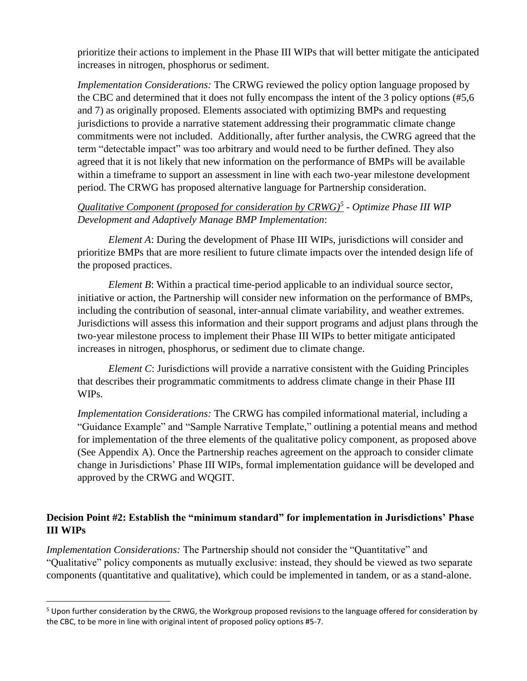prioritize their actions to implement in the Phase III WIPs that will better mitigate the anticipated increases in nitrogen, phosphorus or sediment.

*Implementation Considerations:* The CRWG reviewed the policy option language proposed by the CBC and determined that it does not fully encompass the intent of the 3 policy options (#5,6 and 7) as originally proposed. Elements associated with optimizing BMPs and requesting jurisdictions to provide a narrative statement addressing their programmatic climate change commitments were not included. Additionally, after further analysis, the CWRG agreed that the term "detectable impact" was too arbitrary and would need to be further defined. They also agreed that it is not likely that new information on the performance of BMPs will be available within a timeframe to support an assessment in line with each two-year milestone development period. The CRWG has proposed alternative language for Partnership consideration.

## *Qualitative Component (proposed for consideration by CRWG)<sup>5</sup> - Optimize Phase III WIP Development and Adaptively Manage BMP Implementation*:

*Element A*: During the development of Phase III WIPs, jurisdictions will consider and prioritize BMPs that are more resilient to future climate impacts over the intended design life of the proposed practices.

*Element B*: Within a practical time-period applicable to an individual source sector, initiative or action, the Partnership will consider new information on the performance of BMPs, including the contribution of seasonal, inter-annual climate variability, and weather extremes. Jurisdictions will assess this information and their support programs and adjust plans through the two-year milestone process to implement their Phase III WIPs to better mitigate anticipated increases in nitrogen, phosphorus, or sediment due to climate change.

*Element C*: Jurisdictions will provide a narrative consistent with the Guiding Principles that describes their programmatic commitments to address climate change in their Phase III WIPs.

*Implementation Considerations:* The CRWG has compiled informational material, including a "Guidance Example" and "Sample Narrative Template," outlining a potential means and method for implementation of the three elements of the qualitative policy component, as proposed above (See Appendix A). Once the Partnership reaches agreement on the approach to consider climate change in Jurisdictions' Phase III WIPs, formal implementation guidance will be developed and approved by the CRWG and WQGIT.

## **Decision Point #2: Establish the "minimum standard" for implementation in Jurisdictions' Phase III WIPs**

*Implementation Considerations:* The Partnership should not consider the "Quantitative" and "Qualitative" policy components as mutually exclusive: instead, they should be viewed as two separate components (quantitative and qualitative), which could be implemented in tandem, or as a stand-alone.

 $\overline{\phantom{a}}$ 

<sup>&</sup>lt;sup>5</sup> Upon further consideration by the CRWG, the Workgroup proposed revisions to the language offered for consideration by the CBC, to be more in line with original intent of proposed policy options #5-7.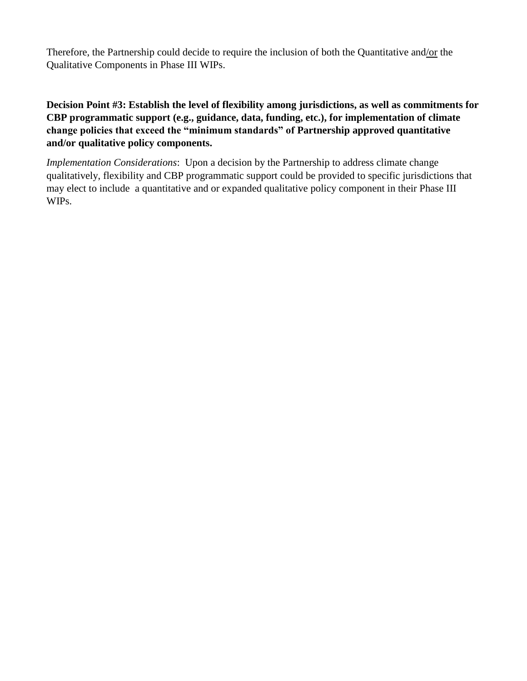Therefore, the Partnership could decide to require the inclusion of both the Quantitative and/or the Qualitative Components in Phase III WIPs.

**Decision Point #3: Establish the level of flexibility among jurisdictions, as well as commitments for CBP programmatic support (e.g., guidance, data, funding, etc.), for implementation of climate change policies that exceed the "minimum standards" of Partnership approved quantitative and/or qualitative policy components.** 

*Implementation Considerations*: Upon a decision by the Partnership to address climate change qualitatively, flexibility and CBP programmatic support could be provided to specific jurisdictions that may elect to include a quantitative and or expanded qualitative policy component in their Phase III WIPs.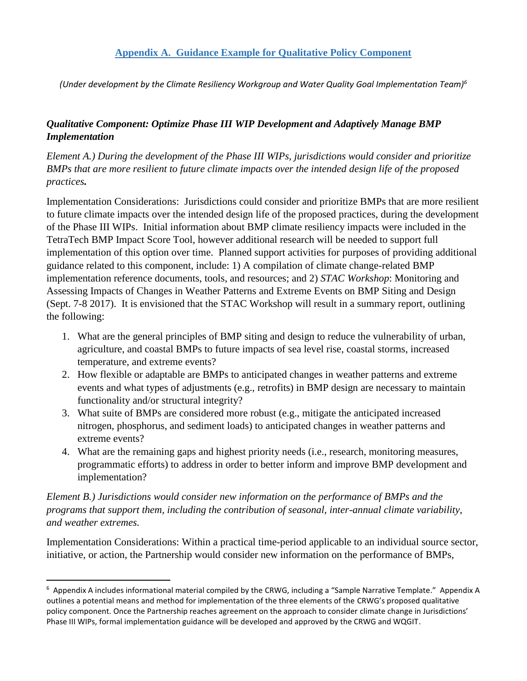### **Appendix A. Guidance Example for Qualitative Policy Component**

*(Under development by the Climate Resiliency Workgroup and Water Quality Goal Implementation Team)<sup>6</sup>*

# *Qualitative Component: Optimize Phase III WIP Development and Adaptively Manage BMP Implementation*

*Element A.) During the development of the Phase III WIPs, jurisdictions would consider and prioritize BMPs that are more resilient to future climate impacts over the intended design life of the proposed practices.* 

Implementation Considerations: Jurisdictions could consider and prioritize BMPs that are more resilient to future climate impacts over the intended design life of the proposed practices, during the development of the Phase III WIPs. Initial information about BMP climate resiliency impacts were included in the TetraTech BMP Impact Score Tool, however additional research will be needed to support full implementation of this option over time. Planned support activities for purposes of providing additional guidance related to this component, include: 1) A compilation of climate change-related BMP implementation reference documents, tools, and resources; and 2) *STAC Workshop*: Monitoring and Assessing Impacts of Changes in Weather Patterns and Extreme Events on BMP Siting and Design (Sept. 7-8 2017). It is envisioned that the STAC Workshop will result in a summary report, outlining the following:

- 1. What are the general principles of BMP siting and design to reduce the vulnerability of urban, agriculture, and coastal BMPs to future impacts of sea level rise, coastal storms, increased temperature, and extreme events?
- 2. How flexible or adaptable are BMPs to anticipated changes in weather patterns and extreme events and what types of adjustments (e.g., retrofits) in BMP design are necessary to maintain functionality and/or structural integrity?
- 3. What suite of BMPs are considered more robust (e.g., mitigate the anticipated increased nitrogen, phosphorus, and sediment loads) to anticipated changes in weather patterns and extreme events?
- 4. What are the remaining gaps and highest priority needs (i.e., research, monitoring measures, programmatic efforts) to address in order to better inform and improve BMP development and implementation?

## *Element B.) Jurisdictions would consider new information on the performance of BMPs and the programs that support them, including the contribution of seasonal, inter-annual climate variability, and weather extremes.*

Implementation Considerations: Within a practical time-period applicable to an individual source sector, initiative, or action, the Partnership would consider new information on the performance of BMPs,

l

<sup>6</sup> Appendix A includes informational material compiled by the CRWG, including a "Sample Narrative Template." Appendix A outlines a potential means and method for implementation of the three elements of the CRWG's proposed qualitative policy component. Once the Partnership reaches agreement on the approach to consider climate change in Jurisdictions' Phase III WIPs, formal implementation guidance will be developed and approved by the CRWG and WQGIT.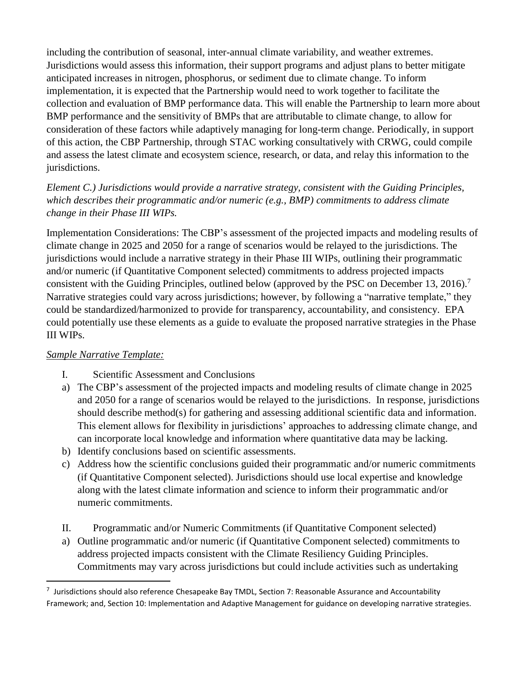including the contribution of seasonal, inter-annual climate variability, and weather extremes. Jurisdictions would assess this information, their support programs and adjust plans to better mitigate anticipated increases in nitrogen, phosphorus, or sediment due to climate change. To inform implementation, it is expected that the Partnership would need to work together to facilitate the collection and evaluation of BMP performance data. This will enable the Partnership to learn more about BMP performance and the sensitivity of BMPs that are attributable to climate change, to allow for consideration of these factors while adaptively managing for long-term change. Periodically, in support of this action, the CBP Partnership, through STAC working consultatively with CRWG, could compile and assess the latest climate and ecosystem science, research, or data, and relay this information to the jurisdictions.

*Element C.) Jurisdictions would provide a narrative strategy, consistent with the Guiding Principles, which describes their programmatic and/or numeric (e.g., BMP) commitments to address climate change in their Phase III WIPs.*

Implementation Considerations: The CBP's assessment of the projected impacts and modeling results of climate change in 2025 and 2050 for a range of scenarios would be relayed to the jurisdictions. The jurisdictions would include a narrative strategy in their Phase III WIPs, outlining their programmatic and/or numeric (if Quantitative Component selected) commitments to address projected impacts consistent with the Guiding Principles, outlined below (approved by the PSC on December 13, 2016).<sup>7</sup> Narrative strategies could vary across jurisdictions; however, by following a "narrative template," they could be standardized/harmonized to provide for transparency, accountability, and consistency. EPA could potentially use these elements as a guide to evaluate the proposed narrative strategies in the Phase III WIPs.

### *Sample Narrative Template:*

 $\overline{\phantom{a}}$ 

- I. Scientific Assessment and Conclusions
- a) The CBP's assessment of the projected impacts and modeling results of climate change in 2025 and 2050 for a range of scenarios would be relayed to the jurisdictions. In response, jurisdictions should describe method(s) for gathering and assessing additional scientific data and information. This element allows for flexibility in jurisdictions' approaches to addressing climate change, and can incorporate local knowledge and information where quantitative data may be lacking.
- b) Identify conclusions based on scientific assessments.
- c) Address how the scientific conclusions guided their programmatic and/or numeric commitments (if Quantitative Component selected). Jurisdictions should use local expertise and knowledge along with the latest climate information and science to inform their programmatic and/or numeric commitments.
- II. Programmatic and/or Numeric Commitments (if Quantitative Component selected)
- a) Outline programmatic and/or numeric (if Quantitative Component selected) commitments to address projected impacts consistent with the Climate Resiliency Guiding Principles. Commitments may vary across jurisdictions but could include activities such as undertaking

<sup>&</sup>lt;sup>7</sup> Jurisdictions should also reference Chesapeake Bay TMDL, Section 7: Reasonable Assurance and Accountability Framework; and, Section 10: Implementation and Adaptive Management for guidance on developing narrative strategies.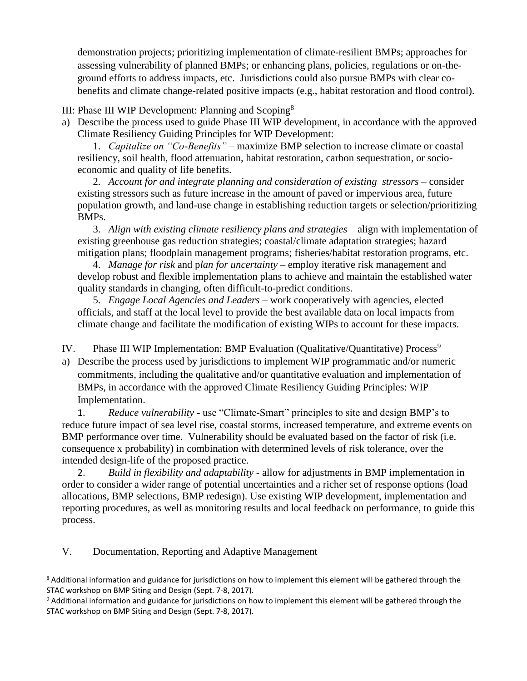demonstration projects; prioritizing implementation of climate-resilient BMPs; approaches for assessing vulnerability of planned BMPs; or enhancing plans, policies, regulations or on-theground efforts to address impacts, etc. Jurisdictions could also pursue BMPs with clear cobenefits and climate change-related positive impacts (e.g., habitat restoration and flood control).

III: Phase III WIP Development: Planning and Scoping<sup>8</sup>

a) Describe the process used to guide Phase III WIP development, in accordance with the approved Climate Resiliency Guiding Principles for WIP Development:

1. *Capitalize on "Co-Benefits"* – maximize BMP selection to increase climate or coastal resiliency, soil health, flood attenuation, habitat restoration, carbon sequestration, or socioeconomic and quality of life benefits.

2. *Account for and integrate planning and consideration of existing stressors* – consider existing stressors such as future increase in the amount of paved or impervious area, future population growth, and land-use change in establishing reduction targets or selection/prioritizing BMPs.

3. *Align with existing climate resiliency plans and strategies* – align with implementation of existing greenhouse gas reduction strategies; coastal/climate adaptation strategies; hazard mitigation plans; floodplain management programs; fisheries/habitat restoration programs, etc.

4. *Manage for risk* and p*lan for uncertainty* – employ iterative risk management and develop robust and flexible implementation plans to achieve and maintain the established water quality standards in changing, often difficult-to-predict conditions.

5. *Engage Local Agencies and Leaders* – work cooperatively with agencies, elected officials, and staff at the local level to provide the best available data on local impacts from climate change and facilitate the modification of existing WIPs to account for these impacts.

IV. Phase III WIP Implementation: BMP Evaluation (Qualitative/Quantitative) Process<sup>9</sup>

a) Describe the process used by jurisdictions to implement WIP programmatic and/or numeric commitments, including the qualitative and/or quantitative evaluation and implementation of BMPs, in accordance with the approved Climate Resiliency Guiding Principles: WIP Implementation.

1. *Reduce vulnerability* - use "Climate-Smart" principles to site and design BMP's to reduce future impact of sea level rise, coastal storms, increased temperature, and extreme events on BMP performance over time. Vulnerability should be evaluated based on the factor of risk (i.e. consequence x probability) in combination with determined levels of risk tolerance, over the intended design-life of the proposed practice.

2. *Build in flexibility and adaptability* - allow for adjustments in BMP implementation in order to consider a wider range of potential uncertainties and a richer set of response options (load allocations, BMP selections, BMP redesign). Use existing WIP development, implementation and reporting procedures, as well as monitoring results and local feedback on performance, to guide this process.

V. Documentation, Reporting and Adaptive Management

 $\overline{a}$ 

<sup>&</sup>lt;sup>8</sup> Additional information and guidance for jurisdictions on how to implement this element will be gathered through the STAC workshop on BMP Siting and Design (Sept. 7-8, 2017).

<sup>&</sup>lt;sup>9</sup> Additional information and guidance for jurisdictions on how to implement this element will be gathered through the STAC workshop on BMP Siting and Design (Sept. 7-8, 2017).